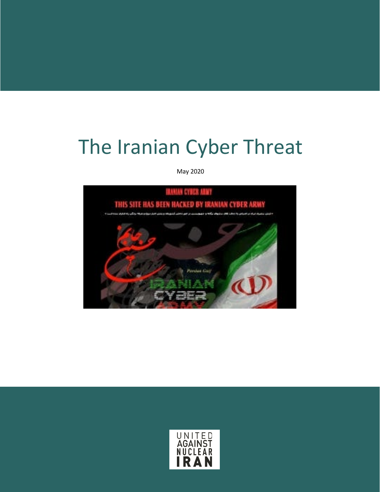# The Iranian Cyber Threat

May 2020



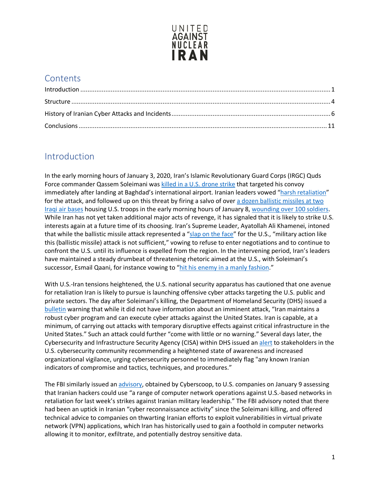

## **Contents**

## <span id="page-1-0"></span>Introduction

In the early morning hours of January 3, 2020, Iran's Islamic Revolutionary Guard Corps (IRGC) Quds Force commander Qassem Soleimani was [killed in a U.S. drone strike](https://www.cnn.com/2020/01/02/middleeast/baghdad-airport-rockets/index.html) that targeted his convoy immediately after landing at Baghdad's international airport. Iranian leaders vowed ["harsh retaliation"](https://www.nbcnews.com/news/world/iran-vows-revenge-harsh-retaliation-after-u-s-kills-its-n1109856) for the attack, and followed up on this threat by firing a salvo of over a dozen ballistic missiles at two [Iraqi air bases](https://www.nbcnews.com/news/world/u-s-base-iraq-comes-under-attack-missiles-iran-claims-n1112171) housing U.S. troops in the early morning hours of January 8, [wounding over 100 soldiers.](https://www.usatoday.com/story/news/politics/2020/02/10/total-u-s-troops-wounded-iranian-missile-attack-now-tops-100/4716343002/) While Iran has not yet taken additional major acts of revenge, it has signaled that it is likely to strike U.S. interests again at a future time of its choosing. Iran's Supreme Leader, Ayatollah Ali Khamenei, intoned that while the ballistic missile attack represented a ["slap on the face"](https://www.reuters.com/article/us-iraq-security-iran-khamenei/irans-supreme-leader-says-missile-strike-a-slap-on-the-face-for-us-idUSKBN1Z715G) for the U.S., "military action like this (ballistic missile) attack is not sufficient," vowing to refuse to enter negotiations and to continue to confront the U.S. until its influence is expelled from the region. In the intervening period, Iran's leaders have maintained a steady drumbeat of threatening rhetoric aimed at the U.S., with Soleimani's successor, Esmail Qaani, for instance vowing to ["hit his enemy in a manly fashion.](https://www.aljazeera.com/news/2020/01/iran-quds-force-leader-vows-manly-revenge-soleimani-200120144819073.html)"

With U.S.-Iran tensions heightened, the U.S. national security apparatus has cautioned that one avenue for retaliation Iran is likely to pursue is launching offensive cyber attacks targeting the U.S. public and private sectors. The day after Soleimani's killing, the Department of Homeland Security (DHS) issued a [bulletin](https://www.dhs.gov/sites/default/files/ntas/alerts/20_0104_ntas_bulletin.pdf) warning that while it did not have information about an imminent attack, "Iran maintains a robust cyber program and can execute cyber attacks against the United States. Iran is capable, at a minimum, of carrying out attacks with temporary disruptive effects against critical infrastructure in the United States." Such an attack could further "come with little or no warning." Several days later, the Cybersecurity and Infrastructure Security Agency (CISA) within DHS issued an [alert](https://www.us-cert.gov/ncas/alerts/aa20-006a) to stakeholders in the U.S. cybersecurity community recommending a heightened state of awareness and increased organizational vigilance, urging cybersecurity personnel to immediately flag "any known Iranian indicators of compromise and tactics, techniques, and procedures."

The FBI similarly issued an [advisory,](https://www.cyberscoop.com/fbi-iran-soleimani-cyber/) obtained by Cyberscoop, to U.S. companies on January 9 assessing that Iranian hackers could use "a range of computer network operations against U.S.-based networks in retaliation for last week's strikes against Iranian military leadership." The FBI advisory noted that there had been an uptick in Iranian "cyber reconnaissance activity" since the Soleimani killing, and offered technical advice to companies on thwarting Iranian efforts to exploit vulnerabilities in virtual private network (VPN) applications, which Iran has historically used to gain a foothold in computer networks allowing it to monitor, exfiltrate, and potentially destroy sensitive data.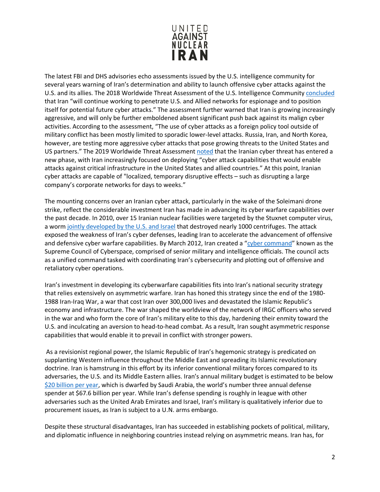

The latest FBI and DHS advisories echo assessments issued by the U.S. intelligence community for several years warning of Iran's determination and ability to launch offensive cyber attacks against the U.S. and its allies. The 2018 Worldwide Threat Assessment of the U.S. Intelligence Community [concluded](https://www.dni.gov/files/documents/Newsroom/Testimonies/2018-ATA---Unclassified-SSCI.pdf) that Iran "will continue working to penetrate U.S. and Allied networks for espionage and to position itself for potential future cyber attacks." The assessment further warned that Iran is growing increasingly aggressive, and will only be further emboldened absent significant push back against its malign cyber activities. According to the assessment, "The use of cyber attacks as a foreign policy tool outside of military conflict has been mostly limited to sporadic lower-level attacks. Russia, Iran, and North Korea, however, are testing more aggressive cyber attacks that pose growing threats to the United States and US partners." The 2019 Worldwide Threat Assessment [noted](https://www.dni.gov/files/ODNI/documents/2019-ATA-SFR---SSCI.pdf) that the Iranian cyber threat has entered a new phase, with Iran increasingly focused on deploying "cyber attack capabilities that would enable attacks against critical infrastructure in the United States and allied countries." At this point, Iranian cyber attacks are capable of "localized, temporary disruptive effects – such as disrupting a large company's corporate networks for days to weeks."

The mounting concerns over an Iranian cyber attack, particularly in the wake of the Soleimani drone strike, reflect the considerable investment Iran has made in advancing its cyber warfare capabilities over the past decade. In 2010, over 15 Iranian nuclear facilities were targeted by the Stuxnet computer virus, a wor[m jointly developed by the U.S. and Israel](https://www.businessinsider.com/stuxnet-was-far-more-dangerous-than-previous-thought-2013-11) that destroyed nearly 1000 centrifuges. The attack exposed the weakness of Iran's cyber defenses, leading Iran to accelerate the advancement of offensive and defensive cyber warfare capabilities. By March 2012, Iran created a ["cyber command"](https://foreignpolicy.com/2014/02/18/forget-china-irans-hackers-are-americas-newest-cyber-threat/) known as the Supreme Council of Cyberspace, comprised of senior military and intelligence officials. The council acts as a unified command tasked with coordinating Iran's cybersecurity and plotting out of offensive and retaliatory cyber operations.

Iran's investment in developing its cyberwarfare capabilities fits into Iran's national security strategy that relies extensively on asymmetric warfare. Iran has honed this strategy since the end of the 1980- 1988 Iran-Iraq War, a war that cost Iran over 300,000 lives and devastated the Islamic Republic's economy and infrastructure. The war shaped the worldview of the network of IRGC officers who served in the war and who form the core of Iran's military elite to this day, hardening their enmity toward the U.S. and inculcating an aversion to head-to-head combat. As a result, Iran sought asymmetric response capabilities that would enable it to prevail in conflict with stronger powers.

As a revisionist regional power, the Islamic Republic of Iran's hegemonic strategy is predicated on supplanting Western influence throughout the Middle East and spreading its Islamic revolutionary doctrine. Iran is hamstrung in this effort by its inferior conventional military forces compared to its adversaries, the U.S. and its Middle Eastern allies. Iran's annual military budget is estimated to be below [\\$20 billion per year,](https://www.globalfirepower.com/defense-spending-budget.asp) which is dwarfed by Saudi Arabia, the world's number three annual defense spender at \$67.6 billion per year. While Iran's defense spending is roughly in league with other adversaries such as the United Arab Emirates and Israel, Iran's military is qualitatively inferior due to procurement issues, as Iran is subject to a U.N. arms embargo.

Despite these structural disadvantages, Iran has succeeded in establishing pockets of political, military, and diplomatic influence in neighboring countries instead relying on asymmetric means. Iran has, for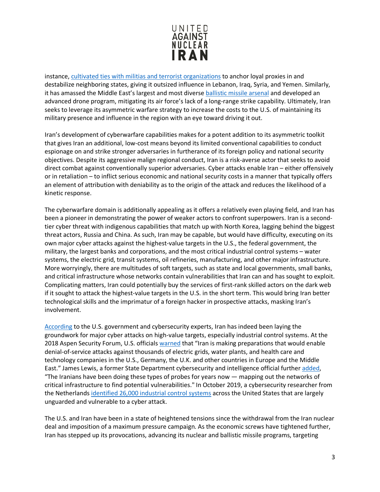

instance[, cultivated ties with militias and terrorist organizations](https://www.unitedagainstnucleariran.com/proxy-wars/map) to anchor loyal proxies in and destabilize neighboring states, giving it outsized influence in Lebanon, Iraq, Syria, and Yemen. Similarly, it has amassed the Middle East's largest and most divers[e ballistic missile arsenal](https://www.unitedagainstnucleariran.com/ballistic-missile-threat) and developed an advanced drone program, mitigating its air force's lack of a long-range strike capability. Ultimately, Iran seeks to leverage its asymmetric warfare strategy to increase the costs to the U.S. of maintaining its military presence and influence in the region with an eye toward driving it out.

Iran's development of cyberwarfare capabilities makes for a potent addition to its asymmetric toolkit that gives Iran an additional, low-cost means beyond its limited conventional capabilities to conduct espionage on and strike stronger adversaries in furtherance of its foreign policy and national security objectives. Despite its aggressive malign regional conduct, Iran is a risk-averse actor that seeks to avoid direct combat against conventionally superior adversaries. Cyber attacks enable Iran – either offensively or in retaliation – to inflict serious economic and national security costs in a manner that typically offers an element of attribution with deniability as to the origin of the attack and reduces the likelihood of a kinetic response.

The cyberwarfare domain is additionally appealing as it offers a relatively even playing field, and Iran has been a pioneer in demonstrating the power of weaker actors to confront superpowers. Iran is a secondtier cyber threat with indigenous capabilities that match up with North Korea, lagging behind the biggest threat actors, Russia and China. As such, Iran may be capable, but would have difficulty, executing on its own major cyber attacks against the highest-value targets in the U.S., the federal government, the military, the largest banks and corporations, and the most critical industrial control systems – water systems, the electric grid, transit systems, oil refineries, manufacturing, and other major infrastructure. More worryingly, there are multitudes of soft targets, such as state and local governments, small banks, and critical infrastructure whose networks contain vulnerabilities that Iran can and has sought to exploit. Complicating matters, Iran could potentially buy the services of first-rank skilled actors on the dark web if it sought to attack the highest-value targets in the U.S. in the short term. This would bring Iran better technological skills and the imprimatur of a foreign hacker in prospective attacks, masking Iran's involvement.

[According](https://www.nbcnews.com/news/us-news/iran-has-laid-groundwork-extensive-cyberattacks-u-s-say-officials-n893081) to the U.S. government and cybersecurity experts, Iran has indeed been laying the groundwork for major cyber attacks on high-value targets, especially industrial control systems. At the 2018 Aspen Security Forum, U.S. officials [warned](https://www.nbcnews.com/news/us-news/iran-has-laid-groundwork-extensive-cyberattacks-u-s-say-officials-n893081) that "Iran is making preparations that would enable denial-of-service attacks against thousands of electric grids, water plants, and health care and technology companies in the U.S., Germany, the U.K. and other countries in Europe and the Middle East." James Lewis, a former State Department cybersecurity and intelligence official further [added,](https://www.nbcnews.com/news/us-news/iran-has-laid-groundwork-extensive-cyberattacks-u-s-say-officials-n893081) "The Iranians have been doing these types of probes for years now — mapping out the networks of critical infrastructure to find potential vulnerabilities." In October 2019, a cybersecurity researcher from the Netherlands [identified 26,000 industrial control systems](https://www.icscybersecurityconference.com/intelligence-gathering-on-u-s-critical-infrastructure/) across the United States that are largely unguarded and vulnerable to a cyber attack.

The U.S. and Iran have been in a state of heightened tensions since the withdrawal from the Iran nuclear deal and imposition of a maximum pressure campaign. As the economic screws have tightened further, Iran has stepped up its provocations, advancing its nuclear and ballistic missile programs, targeting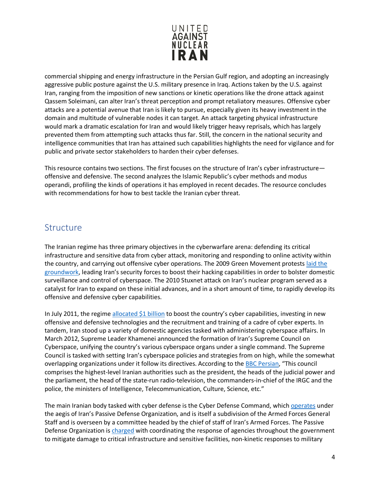

commercial shipping and energy infrastructure in the Persian Gulf region, and adopting an increasingly aggressive public posture against the U.S. military presence in Iraq. Actions taken by the U.S. against Iran, ranging from the imposition of new sanctions or kinetic operations like the drone attack against Qassem Soleimani, can alter Iran's threat perception and prompt retaliatory measures. Offensive cyber attacks are a potential avenue that Iran is likely to pursue, especially given its heavy investment in the domain and multitude of vulnerable nodes it can target. An attack targeting physical infrastructure would mark a dramatic escalation for Iran and would likely trigger heavy reprisals, which has largely prevented them from attempting such attacks thus far. Still, the concern in the national security and intelligence communities that Iran has attained such capabilities highlights the need for vigilance and for public and private sector stakeholders to harden their cyber defenses.

This resource contains two sections. The first focuses on the structure of Iran's cyber infrastructure offensive and defensive. The second analyzes the Islamic Republic's cyber methods and modus operandi, profiling the kinds of operations it has employed in recent decades. The resource concludes with recommendations for how to best tackle the Iranian cyber threat.

#### <span id="page-4-0"></span>Structure

The Iranian regime has three primary objectives in the cyberwarfare arena: defending its critical infrastructure and sensitive data from cyber attack, monitoring and responding to online activity within the country, and carrying out offensive cyber operations. The 2009 Green Movement protests [laid the](https://www.csis.org/analysis/iran-and-cyber-power)  [groundwork,](https://www.csis.org/analysis/iran-and-cyber-power) leading Iran's security forces to boost their hacking capabilities in order to bolster domestic surveillance and control of cyberspace. The 2010 Stuxnet attack on Iran's nuclear program served as a catalyst for Iran to expand on these initial advances, and in a short amount of time, to rapidly develop its offensive and defensive cyber capabilities.

In July 2011, the regime [allocated \\$1 billion](https://www.slideshare.net/HackRead/irans-cyber-war-skills) to boost the country's cyber capabilities, investing in new offensive and defensive technologies and the recruitment and training of a cadre of cyber experts. In tandem, Iran stood up a variety of domestic agencies tasked with administering cyberspace affairs. In March 2012, Supreme Leader Khamenei announced the formation of Iran's Supreme Council on Cyberspace, unifying the country's various cyberspace organs under a single command. The Supreme Council is tasked with setting Iran's cyberspace policies and strategies from on high, while the somewhat overlapping organizations under it follow its directives. According to the [BBC Persian](https://nligf.nl/v1/upload/pdf/Structure_of_Irans_Cyber_Operations.pdf), "This council comprises the highest-level Iranian authorities such as the president, the heads of the judicial power and the parliament, the head of the state-run radio-television, the commanders-in-chief of the IRGC and the police, the ministers of Intelligence, Telecommunication, Culture, Science, etc."

The main Iranian body tasked with cyber defense is the Cyber Defense Command, which [operates](https://www.washingtoninstitute.org/policy-analysis/view/irans-passive-defense-organization-another-target-for-sanctions) under the aegis of Iran's Passive Defense Organization, and is itself a subdivision of the Armed Forces General Staff and is overseen by a committee headed by the chief of staff of Iran's Armed Forces. The Passive Defense Organization is [charged](https://www.washingtoninstitute.org/policy-analysis/view/irans-passive-defense-organization-another-target-for-sanctions) with coordinating the response of agencies throughout the government to mitigate damage to critical infrastructure and sensitive facilities, non-kinetic responses to military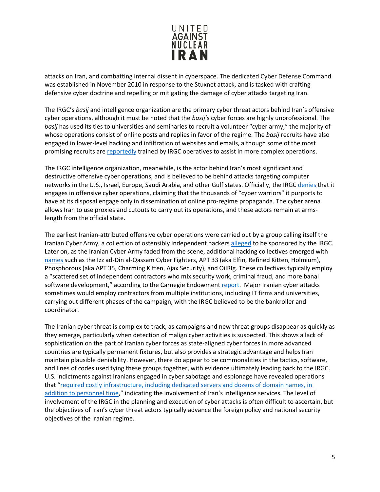

attacks on Iran, and combatting internal dissent in cyberspace. The dedicated Cyber Defense Command was established in November 2010 in response to the Stuxnet attack, and is tasked with crafting defensive cyber doctrine and repelling or mitigating the damage of cyber attacks targeting Iran.

The IRGC's *basij* and intelligence organization are the primary cyber threat actors behind Iran's offensive cyber operations, although it must be noted that the *basij'*s cyber forces are highly unprofessional. The *basij* has used its ties to universities and seminaries to recruit a volunteer "cyber army," the majority of whose operations consist of online posts and replies in favor of the regime. The *basij* recruits have also engaged in lower-level hacking and infiltration of websites and emails, although some of the most promising recruits ar[e reportedly](https://nligf.nl/v1/upload/pdf/Structure_of_Irans_Cyber_Operations.pdf) trained by IRGC operatives to assist in more complex operations.

The IRGC intelligence organization, meanwhile, is the actor behind Iran's most significant and destructive offensive cyber operations, and is believed to be behind attacks targeting computer networks in the U.S., Israel, Europe, Saudi Arabia, and other Gulf states. Officially, the IRGC [denies](https://carnegieendowment.org/files/Iran_Cyber_Final_Full_v2.pdf) that it engages in offensive cyber operations, claiming that the thousands of "cyber warriors" it purports to have at its disposal engage only in dissemination of online pro-regime propaganda. The cyber arena allows Iran to use proxies and cutouts to carry out its operations, and these actors remain at armslength from the official state.

The earliest Iranian-attributed offensive cyber operations were carried out by a group calling itself the Iranian Cyber Army, a collection of ostensibly independent hackers [alleged](https://docs.house.gov/meetings/HM/HM05/20160211/104455/HHRG-114-HM05-Wstate-BermanI-20160211.pdf) to be sponsored by the IRGC. Later on, as the Iranian Cyber Army faded from the scene, additional hacking collectives emerged with [names](https://iranprimer.usip.org/blog/2019/oct/25/invisible-us-iran-cyber-war) such as the Izz ad-Din al-Qassam Cyber Fighters, APT 33 (aka Elfin, Refined Kitten, Holmium), Phosphorous (aka APT 35, Charming Kitten, Ajax Security), and OilRIg. These collectives typically employ a "scattered set of independent contractors who mix security work, criminal fraud, and more banal software development," according to the Carnegie Endowmen[t report.](https://carnegieendowment.org/files/Iran_Cyber_Final_Full_v2.pdf) Major Iranian cyber attacks sometimes would employ contractors from multiple institutions, including IT firms and universities, carrying out different phases of the campaign, with the IRGC believed to be the bankroller and coordinator.

The Iranian cyber threat is complex to track, as campaigns and new threat groups disappear as quickly as they emerge, particularly when detection of malign cyber activities is suspected. This shows a lack of sophistication on the part of Iranian cyber forces as state-aligned cyber forces in more advanced countries are typically permanent fixtures, but also provides a strategic advantage and helps Iran maintain plausible deniability. However, there do appear to be commonalities in the tactics, software, and lines of codes used tying these groups together, with evidence ultimately leading back to the IRGC. U.S. indictments against Iranians engaged in cyber sabotage and espionage have revealed operations that ["required costly infrastructure, including dedicated servers and dozens of domain names, in](https://carnegieendowment.org/2018/01/04/iran-s-cyber-ecosystem-who-are-threat-actors-pub-75140)  [addition to personnel time,](https://carnegieendowment.org/2018/01/04/iran-s-cyber-ecosystem-who-are-threat-actors-pub-75140)" indicating the involvement of Iran's intelligence services. The level of involvement of the IRGC in the planning and execution of cyber attacks is often difficult to ascertain, but the objectives of Iran's cyber threat actors typically advance the foreign policy and national security objectives of the Iranian regime.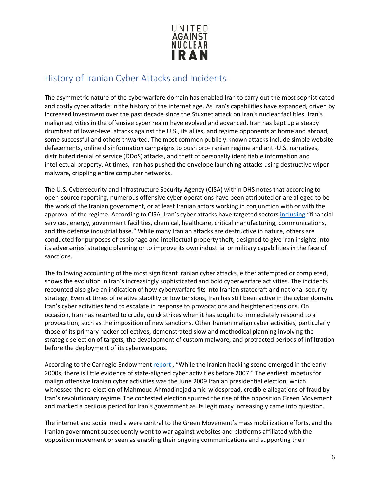

## <span id="page-6-0"></span>History of Iranian Cyber Attacks and Incidents

The asymmetric nature of the cyberwarfare domain has enabled Iran to carry out the most sophisticated and costly cyber attacks in the history of the internet age. As Iran's capabilities have expanded, driven by increased investment over the past decade since the Stuxnet attack on Iran's nuclear facilities, Iran's malign activities in the offensive cyber realm have evolved and advanced. Iran has kept up a steady drumbeat of lower-level attacks against the U.S., its allies, and regime opponents at home and abroad, some successful and others thwarted. The most common publicly-known attacks include simple website defacements, online disinformation campaigns to push pro-Iranian regime and anti-U.S. narratives, distributed denial of service (DDoS) attacks, and theft of personally identifiable information and intellectual property. At times, Iran has pushed the envelope launching attacks using destructive wiper malware, crippling entire computer networks.

The U.S. Cybersecurity and Infrastructure Security Agency (CISA) within DHS notes that according to open-source reporting, numerous offensive cyber operations have been attributed or are alleged to be the work of the Iranian government, or at least Iranian actors working in conjunction with or with the approval of the regime. According to CISA, Iran's cyber attacks have targeted sectors [including](https://www.us-cert.gov/ncas/alerts/aa20-006a) "financial services, energy, government facilities, chemical, healthcare, critical manufacturing, communications, and the defense industrial base." While many Iranian attacks are destructive in nature, others are conducted for purposes of espionage and intellectual property theft, designed to give Iran insights into its adversaries' strategic planning or to improve its own industrial or military capabilities in the face of sanctions.

The following accounting of the most significant Iranian cyber attacks, either attempted or completed, shows the evolution in Iran's increasingly sophisticated and bold cyberwarfare activities. The incidents recounted also give an indication of how cyberwarfare fits into Iranian statecraft and national security strategy. Even at times of relative stability or low tensions, Iran has still been active in the cyber domain. Iran's cyber activities tend to escalate in response to provocations and heightened tensions. On occasion, Iran has resorted to crude, quick strikes when it has sought to immediately respond to a provocation, such as the imposition of new sanctions. Other Iranian malign cyber activities, particularly those of its primary hacker collectives, demonstrated slow and methodical planning involving the strategic selection of targets, the development of custom malware, and protracted periods of infiltration before the deployment of its cyberweapons.

According to the Carnegie Endowment [report](https://carnegieendowment.org/2018/01/04/iran-s-cyber-threat-introduction-pub-75138), "While the Iranian hacking scene emerged in the early 2000s, there is little evidence of state-aligned cyber activities before 2007." The earliest impetus for malign offensive Iranian cyber activities was the June 2009 Iranian presidential election, which witnessed the re-election of Mahmoud Ahmadinejad amid widespread, credible allegations of fraud by Iran's revolutionary regime. The contested election spurred the rise of the opposition Green Movement and marked a perilous period for Iran's government as its legitimacy increasingly came into question.

The internet and social media were central to the Green Movement's mass mobilization efforts, and the Iranian government subsequently went to war against websites and platforms affiliated with the opposition movement or seen as enabling their ongoing communications and supporting their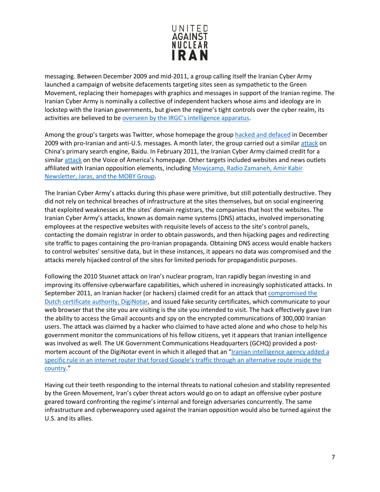

messaging. Between December 2009 and mid-2011, a group calling itself the Iranian Cyber Army launched a campaign of website defacements targeting sites seen as sympathetic to the Green Movement, replacing their homepages with graphics and messages in support of the Iranian regime. The Iranian Cyber Army is nominally a collective of independent hackers whose aims and ideology are in lockstep with the Iranian governments, but given the regime's tight controls over the cyber realm, its activities are believed to be [overseen by the IRGC's intelligence apparatus.](https://docs.house.gov/meetings/HM/HM05/20160211/104455/HHRG-114-HM05-Wstate-BermanI-20160211.pdf)

Among the group's targets was Twitter, whose homepage the group [hacked and defaced](https://www.cbsnews.com/news/iranian-cyber-army-hacks-twitter-claims-victory-for-party-of-god/) in December 2009 with pro-Iranian and anti-U.S. messages. A month later, the group carried out a similar [attack](https://www.zdnet.com/article/baidu-dns-records-hijacked-by-iranian-cyber-army/) on China's primary search engine, Baidu. In February 2011, the Iranian Cyber Army claimed credit for a simila[r attack](https://www.voanews.com/usa/iranian-hackers-attack-voa-internet-sites) on the Voice of America's homepage. Other targets included websites and news outlets affiliated with Iranian opposition elements, including [Mowjcamp, Radio Zamaneh, Amir Kabir](https://www.domaintools.com/resources/blog/from-cybercrime-to-political-repression-shedding-light-on-the-iranian-cyber)  [Newsletter, Jaras, and the MOBY Group.](https://www.domaintools.com/resources/blog/from-cybercrime-to-political-repression-shedding-light-on-the-iranian-cyber)

The Iranian Cyber Army's attacks during this phase were primitive, but still potentially destructive. They did not rely on technical breaches of infrastructure at the sites themselves, but on social engineering that exploited weaknesses at the sites' domain registrars, the companies that host the websites. The Iranian Cyber Army's attacks, known as domain name systems (DNS) attacks, involved impersonating employees at the respective websites with requisite levels of access to the site's control panels, contacting the domain registrar in order to obtain passwords, and then hijacking pages and redirecting site traffic to pages containing the pro-Iranian propaganda. Obtaining DNS access would enable hackers to control websites' sensitive data, but in these instances, it appears no data was compromised and the attacks merely hijacked control of the sites for limited periods for propagandistic purposes.

Following the 2010 Stuxnet attack on Iran's nuclear program, Iran rapidly began investing in and improving its offensive cyberwarfare capabilities, which ushered in increasingly sophisticated attacks. In September 2011, an Iranian hacker (or hackers) claimed credit for an attack that [compromised the](https://carnegieendowment.org/files/Iran_Cyber_Final_Full_v2.pdf)  [Dutch certificate authority, DigiNotar,](https://carnegieendowment.org/files/Iran_Cyber_Final_Full_v2.pdf) and issued fake security certificates, which communicate to your web browser that the site you are visiting is the site you intended to visit. The hack effectively gave Iran the ability to access the Gmail accounts and spy on the encrypted communications of 300,000 Iranian users. The attack was claimed by a hacker who claimed to have acted alone and who chose to help his government monitor the communications of his fellow citizens, yet it appears that Iranian intelligence was involved as well. The UK Government Communications Headquarters (GCHQ) provided a postmortem account of the DigiNotar event in which it alleged that an "Iranian intelligence agency added a [specific rule in an internet router that forced Google's traffic through an alternative route inside the](https://carnegieendowment.org/files/Iran_Cyber_Final_Full_v2.pdf)  [country.](https://carnegieendowment.org/files/Iran_Cyber_Final_Full_v2.pdf)"

Having cut their teeth responding to the internal threats to national cohesion and stability represented by the Green Movement, Iran's cyber threat actors would go on to adapt an offensive cyber posture geared toward confronting the regime's internal and foreign adversaries concurrently. The same infrastructure and cyberweaponry used against the Iranian opposition would also be turned against the U.S. and its allies.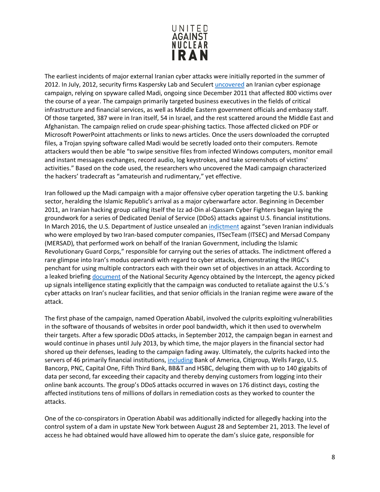

The earliest incidents of major external Iranian cyber attacks were initially reported in the summer of 2012. In July, 2012, security firms Kaspersky Lab and Seculer[t uncovered](https://www.theregister.co.uk/2012/07/17/madi_cyber_espionage_campaign/) an Iranian cyber espionage campaign, relying on spyware called Madi, ongoing since December 2011 that affected 800 victims over the course of a year. The campaign primarily targeted business executives in the fields of critical infrastructure and financial services, as well as Middle Eastern government officials and embassy staff. Of those targeted, 387 were in Iran itself, 54 in Israel, and the rest scattered around the Middle East and Afghanistan. The campaign relied on crude spear-phishing tactics. Those affected clicked on PDF or Microsoft PowerPoint attachments or links to news articles. Once the users downloaded the corrupted files, a Trojan spying software called Madi would be secretly loaded onto their computers. Remote attackers would then be able "to swipe sensitive files from infected Windows computers, monitor email and instant messages exchanges, record audio, log keystrokes, and take screenshots of victims' activities." Based on the code used, the researchers who uncovered the Madi campaign characterized the hackers' tradecraft as "amateurish and rudimentary," yet effective.

Iran followed up the Madi campaign with a major offensive cyber operation targeting the U.S. banking sector, heralding the Islamic Republic's arrival as a major cyberwarfare actor. Beginning in December 2011, an Iranian hacking group calling itself the Izz ad-Din al-Qassam Cyber Fighters began laying the groundwork for a series of Dedicated Denial of Service (DDoS) attacks against U.S. financial institutions. In March 2016, the U.S. Department of Justice unsealed an [indictment](https://www.justice.gov/opa/pr/seven-iranians-working-islamic-revolutionary-guard-corps-affiliated-entities-charged) against "seven Iranian individuals who were employed by two Iran-based computer companies, ITSecTeam (ITSEC) and Mersad Company (MERSAD), that performed work on behalf of the Iranian Government, including the Islamic Revolutionary Guard Corps," responsible for carrying out the series of attacks. The indictment offered a rare glimpse into Iran's modus operandi with regard to cyber attacks, demonstrating the IRGC's penchant for using multiple contractors each with their own set of objectives in an attack. According to a leaked briefin[g document](https://carnegieendowment.org/files/Iran_Cyber_Final_Full_v2.pdf) of the National Security Agency obtained by the Intercept, the agency picked up signals intelligence stating explicitly that the campaign was conducted to retaliate against the U.S.'s cyber attacks on Iran's nuclear facilities, and that senior officials in the Iranian regime were aware of the attack.

The first phase of the campaign, named Operation Ababil, involved the culprits exploiting vulnerabilities in the software of thousands of websites in order pool bandwidth, which it then used to overwhelm their targets. After a few sporadic DDoS attacks, in September 2012, the campaign began in earnest and would continue in phases until July 2013, by which time, the major players in the financial sector had shored up their defenses, leading to the campaign fading away. Ultimately, the culprits hacked into the servers of 46 primarily financial institutions, [including](https://www.nytimes.com/2013/01/09/technology/online-banking-attacks-were-work-of-iran-us-officials-say.html) Bank of America, Citigroup, Wells Fargo, U.S. Bancorp, PNC, Capital One, Fifth Third Bank, BB&T and HSBC, deluging them with up to 140 gigabits of data per second, far exceeding their capacity and thereby denying customers from logging into their online bank accounts. The group's DDoS attacks occurred in waves on 176 distinct days, costing the affected institutions tens of millions of dollars in remediation costs as they worked to counter the attacks.

One of the co-conspirators in Operation Ababil was additionally indicted for allegedly hacking into the control system of a dam in upstate New York between August 28 and September 21, 2013. The level of access he had obtained would have allowed him to operate the dam's sluice gate, responsible for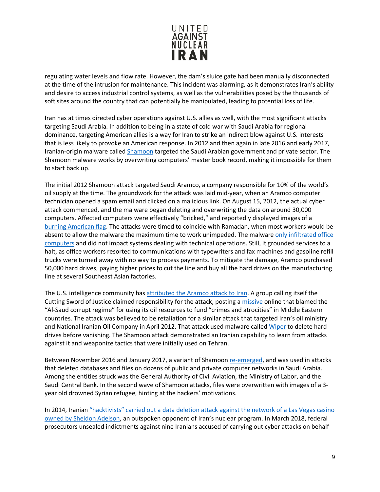

regulating water levels and flow rate. However, the dam's sluice gate had been manually disconnected at the time of the intrusion for maintenance. This incident was alarming, as it demonstrates Iran's ability and desire to access industrial control systems, as well as the vulnerabilities posed by the thousands of soft sites around the country that can potentially be manipulated, leading to potential loss of life.

Iran has at times directed cyber operations against U.S. allies as well, with the most significant attacks targeting Saudi Arabia. In addition to being in a state of cold war with Saudi Arabia for regional dominance, targeting American allies is a way for Iran to strike an indirect blow against U.S. interests that is less likely to provoke an American response. In 2012 and then again in late 2016 and early 2017, Iranian-origin malware called [Shamoon](https://money.cnn.com/2015/08/05/technology/aramco-hack/index.html) targeted the Saudi Arabian government and private sector. The Shamoon malware works by overwriting computers' master book record, making it impossible for them to start back up.

The initial 2012 Shamoon attack targeted Saudi Aramco, a company responsible for 10% of the world's oil supply at the time. The groundwork for the attack was laid mid-year, when an Aramco computer technician opened a spam email and clicked on a malicious link. On August 15, 2012, the actual cyber attack commenced, and the malware began deleting and overwriting the data on around 30,000 computers. Affected computers were effectively "bricked," and reportedly displayed images of a [burning American flag.](https://www.reuters.com/article/us-saudi-cyber-idUSKBN1571ZR) The attacks were timed to coincide with Ramadan, when most workers would be absent to allow the malware the maximum time to work unimpeded. The malware only infiltrated office [computers](https://www.reuters.com/article/us-saudi-cyber-idUSKBN1571ZR) and did not impact systems dealing with technical operations. Still, it grounded services to a halt, as office workers resorted to communications with typewriters and fax machines and gasoline refill trucks were turned away with no way to process payments. To mitigate the damage, Aramco purchased 50,000 hard drives, paying higher prices to cut the line and buy all the hard drives on the manufacturing line at several Southeast Asian factories.

The U.S. intelligence community has [attributed the Aramco attack to Iran.](https://www.cfr.org/interactive/cyber-operations/compromise-saudi-aramco-and-rasgas) A group calling itself the Cutting Sword of Justice claimed responsibility for the attack, posting a [missive](https://pastebin.com/HqAgaQRj) online that blamed the "Al-Saud corrupt regime" for using its oil resources to fund "crimes and atrocities" in Middle Eastern countries. The attack was believed to be retaliation for a similar attack that targeted Iran's oil ministry and National Iranian Oil Company in April 2012. That attack used malware called [Wiper](https://supchina.com/2016/06/22/book-excerpt-hacked-world-order-adam-segal/) to delete hard drives before vanishing. The Shamoon attack demonstrated an Iranian capability to learn from attacks against it and weaponize tactics that were initially used on Tehran.

Between November 2016 and January 2017, a variant of Shamoon [re-emerged,](https://www.reuters.com/article/us-saudi-cyber-idUSKBN1571ZR) and was used in attacks that deleted databases and files on dozens of public and private computer networks in Saudi Arabia. Among the entities struck was the General Authority of Civil Aviation, the Ministry of Labor, and the Saudi Central Bank. In the second wave of Shamoon attacks, files were overwritten with images of a 3 year old drowned Syrian refugee, hinting at the hackers' motivations.

In 2014, Iranian "hacktivists" carried out a data deletion attack against the network of a Las Vegas casino [owned by Sheldon Adelson,](https://www.bloomberg.com/news/articles/2014-12-11/iranian-hackers-hit-sheldon-adelsons-sands-casino-in-las-vegas) an outspoken opponent of Iran's nuclear program. In March 2018, federal prosecutors unsealed indictments against nine Iranians accused of carrying out cyber attacks on behalf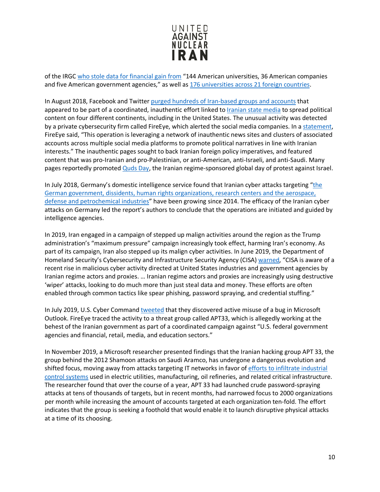

of the IRGC [who stole data for financial gain from](https://www.wsj.com/articles/u-s-charges-nine-iranians-with-cyber-attack-campaign-1521815253) "144 American universities, 36 American companies and five American government agencies," as well as 176 [universities across 21 foreign countries.](https://www.justice.gov/usao-sdny/pr/nine-iranians-charged-conducting-massive-cyber-theft-campaign-behalf-islamic?mod=article_inline)

In August 2018, Facebook and Twitter [purged hundreds of Iran-based groups and accounts](https://www.nbcnews.com/news/amp/ncna902716) that appeared to be part of a coordinated, inauthentic effort linked to [Iranian state media](https://www.unitedagainstnucleariran.com/ideological-expansion/irans-media-empire) to spread political content on four different continents, including in the United States. The unusual activity was detected by a private cybersecurity firm called FireEye, which alerted the social media companies. In a [statement,](https://www.fireeye.com/blog/threat-research/2018/08/suspected-iranian-influence-operation.html) FireEye said, "This operation is leveraging a network of inauthentic news sites and clusters of associated accounts across multiple social media platforms to promote political narratives in line with Iranian interests." The inauthentic pages sought to back Iranian foreign policy imperatives, and featured content that was pro-Iranian and pro-Palestinian, or anti-American, anti-Israeli, and anti-Saudi. Many pages reportedly promote[d Quds Day,](https://www.unitedagainstnucleariran.com/ideological-expansion/quds-day) the Iranian regime-sponsored global day of protest against Israel.

In July 2018, Germany's domestic intelligence service found that Iranian cyber attacks targeting ["the](https://www.reuters.com/article/us-germany-espionage-cyber/irans-growing-cyber-capabilities-pose-danger-german-spy-agency-idUSKBN1KE0X3)  [German government, dissidents, human rights organizations, research centers and the aerospace,](https://www.reuters.com/article/us-germany-espionage-cyber/irans-growing-cyber-capabilities-pose-danger-german-spy-agency-idUSKBN1KE0X3)  [defense and petrochemical industries"](https://www.reuters.com/article/us-germany-espionage-cyber/irans-growing-cyber-capabilities-pose-danger-german-spy-agency-idUSKBN1KE0X3) have been growing since 2014. The efficacy of the Iranian cyber attacks on Germany led the report's authors to conclude that the operations are initiated and guided by intelligence agencies.

In 2019, Iran engaged in a campaign of stepped up malign activities around the region as the Trump administration's "maximum pressure" campaign increasingly took effect, harming Iran's economy. As part of its campaign, Iran also stepped up its malign cyber activities. In June 2019, the Department of Homeland Security's Cybersecurity and Infrastructure Security Agency (CISA) [warned,](https://www.dhs.gov/news/2019/06/22/cisa-statement-iranian-cybersecurity-threats) "CISA is aware of a recent rise in malicious cyber activity directed at United States industries and government agencies by Iranian regime actors and proxies. … Iranian regime actors and proxies are increasingly using destructive 'wiper' attacks, looking to do much more than just steal data and money. These efforts are often enabled through common tactics like spear phishing, password spraying, and credential stuffing."

In July 2019, U.S. Cyber Command [tweeted](https://www.defenseone.com/technology/2019/07/suspected-iranian-cyber-attacks-show-no-sign-slowing/158213/) that they discovered active misuse of a bug in Microsoft Outlook. FireEye traced the activity to a threat group called APT33, which is allegedly working at the behest of the Iranian government as part of a coordinated campaign against "U.S. federal government agencies and financial, retail, media, and education sectors."

In November 2019, a Microsoft researcher presented findings that the Iranian hacking group APT 33, the group behind the 2012 Shamoon attacks on Saudi Aramco, has undergone a dangerous evolution and shifted focus, moving away from attacks targeting IT networks in favor of [efforts to infiltrate industrial](https://www.wired.com/story/iran-apt33-industrial-control-systems/)  [control systems](https://www.wired.com/story/iran-apt33-industrial-control-systems/) used in electric utilities, manufacturing, oil refineries, and related critical infrastructure. The researcher found that over the course of a year, APT 33 had launched crude password-spraying attacks at tens of thousands of targets, but in recent months, had narrowed focus to 2000 organizations per month while increasing the amount of accounts targeted at each organization ten-fold. The effort indicates that the group is seeking a foothold that would enable it to launch disruptive physical attacks at a time of its choosing.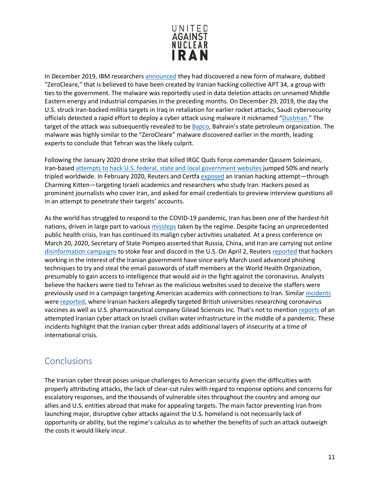

In December 2019, IBM researcher[s announced](https://www.cyberscoop.com/iran-destructive-malware-ibm/) they had discovered a new form of malware, dubbed "ZeroCleare," that is believed to have been created by Iranian hacking collective APT 34, a group with ties to the government. The malware was reportedly used in data deletion attacks on unnamed Middle Eastern energy and industrial companies in the preceding months. On December 29, 2019, the day the U.S. struck Iran-backed militia targets in Iraq in retaliation for earlier rocket attacks, Saudi cybersecurity officials detected a rapid effort to deploy a cyber attack using malware it nicknamed ["Dustman.](https://news.yahoo.com/days-before-suleimani-strike-saudis-warned-of-new-destructive-cyber-attack-013125981.html)" The target of the attack was subsequently revealed to be **Bapco**, Bahrain's state petroleum organization. The malware was highly similar to the "ZeroCleare" malware discovered earlier in the month, leading experts to conclude that Tehran was the likely culprit.

Following the January 2020 drone strike that killed IRGC Quds Force commander Qassem Soleimani, Iran-based [attempts to hack U.S. federal, state and local government websites](https://www.cnn.com/2020/01/08/tech/iran-hackers-soleimani/index.html) jumped 50% and nearly tripled worldwide. In February 2020, Reuters and Certfa [exposed](https://www.reuters.com/article/us-iran-hackers-exclusive/exclusive-iran-linked-hackers-pose-as-journalists-in-email-scam-idUSKBN1ZZ1MS) an Iranian hacking attempt—through Charming Kitten—targeting Israeli academics and researchers who study Iran. Hackers posed as prominent journalists who cover Iran, and asked for email credentials to preview interview questions all in an attempt to penetrate their targets' accounts.

As the world has struggled to respond to the COVID-19 pandemic, Iran has been one of the hardest-hit nations, driven in large part to various [missteps](https://time.com/5804706/iran-coronavirus/) taken by the regime. Despite facing an unprecedented public health crisis, Iran has continued its malign cyber activities unabated. At a press conference on March 20, 2020, Secretary of State Pompeo asserted that Russia, China, and Iran are carrying out online [disinformation campaigns](https://thehill.com/policy/national-security/488659-pompeo-says-china-russia-iran-are-spreading-disinformation-about) to stoke fear and discord in the U.S. On April 2, Reuters [reported](https://www.reuters.com/article/us-health-coronavirus-cyber-iran-exclusi/exclusive-hackers-linked-to-iran-target-who-staff-emails-during-coronavirus-sources-idUSKBN21K1RC) that hackers working in the interest of the Iranian government have since early March used advanced phishing techniques to try and steal the email passwords of staff members at the World Health Organization, presumably to gain access to intelligence that would aid in the fight against the coronavirus. Analysts believe the hackers were tied to Tehran as the malicious websites used to deceive the staffers were previously used in a campaign targeting American academics with connections to Iran. Similar [incidents](https://www.dailymail.co.uk/news/article-8281091/Iran-Russia-launch-hacking-attacks-British-unis-attempt-steal-vaccine-secrets.html) were [reported,](https://www.reuters.com/article/us-healthcare-coronavirus-gilead-iran-ex/exclusive-iran-linked-hackers-recently-targeted-coronavirus-drugmaker-gilead-sources-idUSKBN22K2EV) where Iranian hackers allegedly targeted British universities researching coronavirus vaccines as well as U.S. pharmaceutical company Gilead Sciences Inc. That's not to mention [reports](https://www.washingtonpost.com/national-security/intelligence-officials-say-attempted-cyberattack-on-israeli-water-utilities-linked-to-iran/2020/05/08/f9ab0d78-9157-11ea-9e23-6914ee410a5f_story.html) of an attempted Iranian cyber attack on Israeli civilian water infrastructure in the middle of a pandemic. These incidents highlight that the Iranian cyber threat adds additional layers of insecurity at a time of international crisis.

## <span id="page-11-0"></span>Conclusions

The Iranian cyber threat poses unique challenges to American security given the difficulties with properly attributing attacks, the lack of clear-cut rules with regard to response options and concerns for escalatory responses, and the thousands of vulnerable sites throughout the country and among our allies and U.S. entities abroad that make for appealing targets. The main factor preventing Iran from launching major, disruptive cyber attacks against the U.S. homeland is not necessarily lack of opportunity or ability, but the regime's calculus as to whether the benefits of such an attack outweigh the costs it would likely incur.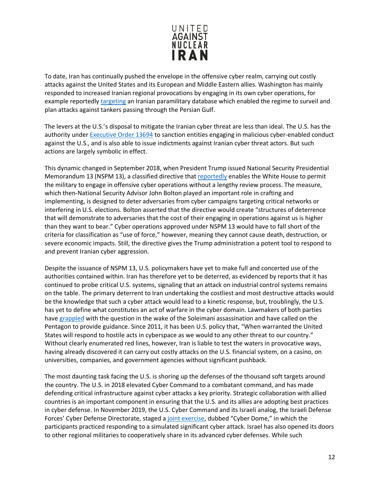

To date, Iran has continually pushed the envelope in the offensive cyber realm, carrying out costly attacks against the United States and its European and Middle Eastern allies. Washington has mainly responded to increased Iranian regional provocations by engaging in its own cyber operations, for example reportedly [targeting](https://www.nytimes.com/2019/08/28/us/politics/us-iran-cyber-attack.html) an Iranian paramilitary database which enabled the regime to surveil and plan attacks against tankers passing through the Persian Gulf.

The levers at the U.S.'s disposal to mitigate the Iranian cyber threat are less than ideal. The U.S. has the authority under [Executive Order 13694](https://www.treasury.gov/resource-center/sanctions/Programs/Documents/cyber_eo.pdf) to sanction entities engaging in malicious cyber-enabled conduct against the U.S., and is also able to issue indictments against Iranian cyber threat actors. But such actions are largely symbolic in effect.

This dynamic changed in September 2018, when President Trump issued National Security Presidential Memorandum 13 (NSPM 13), a classified directive that [reportedly](https://www.washingtonpost.com/world/national-security/trump-authorizes-offensive-cyber-operations-to-deter-foreign-adversaries-bolton-says/2018/09/20/b5880578-bd0b-11e8-b7d2-0773aa1e33da_story.html) enables the White House to permit the military to engage in offensive cyber operations without a lengthy review process. The measure, which then-National Security Advisor John Bolton played an important role in crafting and implementing, is designed to deter adversaries from cyber campaigns targeting critical networks or interfering in U.S. elections. Bolton asserted that the directive would create "structures of deterrence that will demonstrate to adversaries that the cost of their engaging in operations against us is higher than they want to bear." Cyber operations approved under NSPM 13 would have to fall short of the criteria for classification as "use of force," however, meaning they cannot cause death, destruction, or severe economic impacts. Still, the directive gives the Trump administration a potent tool to respond to and prevent Iranian cyber aggression.

Despite the issuance of NSPM 13, U.S. policymakers have yet to make full and concerted use of the authorities contained within. Iran has therefore yet to be deterred, as evidenced by reports that it has continued to probe critical U.S. systems, signaling that an attack on industrial control systems remains on the table. The primary deterrent to Iran undertaking the costliest and most destructive attacks would be the knowledge that such a cyber attack would lead to a kinetic response, but, troublingly, the U.S. has yet to define what constitutes an act of warfare in the cyber domain. Lawmakers of both parties have [grappled](https://thehill.com/policy/cybersecurity/477795-congress-struggles-on-rules-for-cyber-warfare-with-iran) with the question in the wake of the Soleimani assassination and have called on the Pentagon to provide guidance. Since 2011, it has been U.S. policy that, "When warranted the United States will respond to hostile acts in cyberspace as we would to any other threat to our country." Without clearly enumerated red lines, however, Iran is liable to test the waters in provocative ways, having already discovered it can carry out costly attacks on the U.S. financial system, on a casino, on universities, companies, and government agencies without significant pushback.

The most daunting task facing the U.S. is shoring up the defenses of the thousand soft targets around the country. The U.S. in 2018 elevated Cyber Command to a combatant command, and has made defending critical infrastructure against cyber attacks a key priority. Strategic collaboration with allied countries is an important component in ensuring that the U.S. and its allies are adopting best practices in cyber defense. In November 2019, the U.S. Cyber Command and its Israeli analog, the Israeli Defense Forces' Cyber Defense Directorate, staged a [joint exercise,](https://www.jns.org/idf-strengthens-cyber-defense-coordination-with-us-cyber-command/) dubbed "Cyber Dome," in which the participants practiced responding to a simulated significant cyber attack. Israel has also opened its doors to other regional militaries to cooperatively share in its advanced cyber defenses. While such